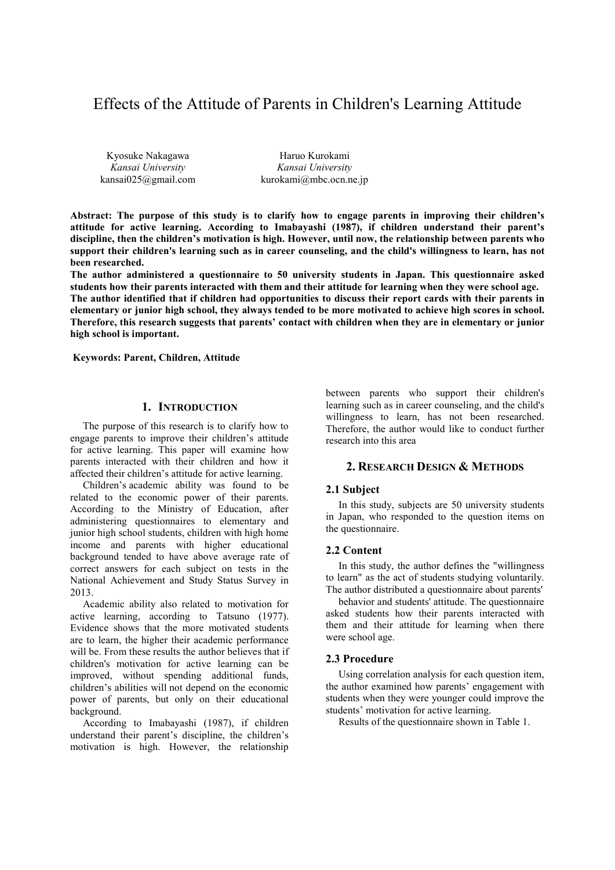# Effects of the Attitude of Parents in Children's Learning Attitude

Kyosuke Nakagawa *Kansai University* kansai025@gmail.com

Haruo Kurokami *Kansai University* kurokami@mbc.ocn.ne.jp

**Abstract: The purpose of this study is to clarify how to engage parents in improving their children's attitude for active learning. According to Imabayashi (1987), if children understand their parent's discipline, then the children's motivation is high. However, until now, the relationship between parents who support their children's learning such as in career counseling, and the child's willingness to learn, has not been researched.** 

**The author administered a questionnaire to 50 university students in Japan. This questionnaire asked students how their parents interacted with them and their attitude for learning when they were school age. The author identified that if children had opportunities to discuss their report cards with their parents in elementary or junior high school, they always tended to be more motivated to achieve high scores in school. Therefore, this research suggests that parents' contact with children when they are in elementary or junior high school is important.** 

 **Keywords: Parent, Children, Attitude** 

### **1. INTRODUCTION**

The purpose of this research is to clarify how to engage parents to improve their children's attitude for active learning. This paper will examine how parents interacted with their children and how it affected their children's attitude for active learning.

Children's academic ability was found to be related to the economic power of their parents. According to the Ministry of Education, after administering questionnaires to elementary and junior high school students, children with high home income and parents with higher educational background tended to have above average rate of correct answers for each subject on tests in the National Achievement and Study Status Survey in 2013.

Academic ability also related to motivation for active learning, according to Tatsuno (1977). Evidence shows that the more motivated students are to learn, the higher their academic performance will be. From these results the author believes that if children's motivation for active learning can be improved, without spending additional funds, children's abilities will not depend on the economic power of parents, but only on their educational background.

According to Imabayashi (1987), if children understand their parent's discipline, the children's motivation is high. However, the relationship

between parents who support their children's learning such as in career counseling, and the child's willingness to learn, has not been researched. Therefore, the author would like to conduct further research into this area

# **2. RESEARCH DESIGN & METHODS**

#### **2.1 Subject**

In this study, subjects are 50 university students in Japan, who responded to the question items on the questionnaire.

#### **2.2 Content**

In this study, the author defines the "willingness to learn" as the act of students studying voluntarily. The author distributed a questionnaire about parents'

behavior and students' attitude. The questionnaire asked students how their parents interacted with them and their attitude for learning when there were school age.

#### **2.3 Procedure**

Using correlation analysis for each question item, the author examined how parents' engagement with students when they were younger could improve the students' motivation for active learning.

Results of the questionnaire shown in Table 1.